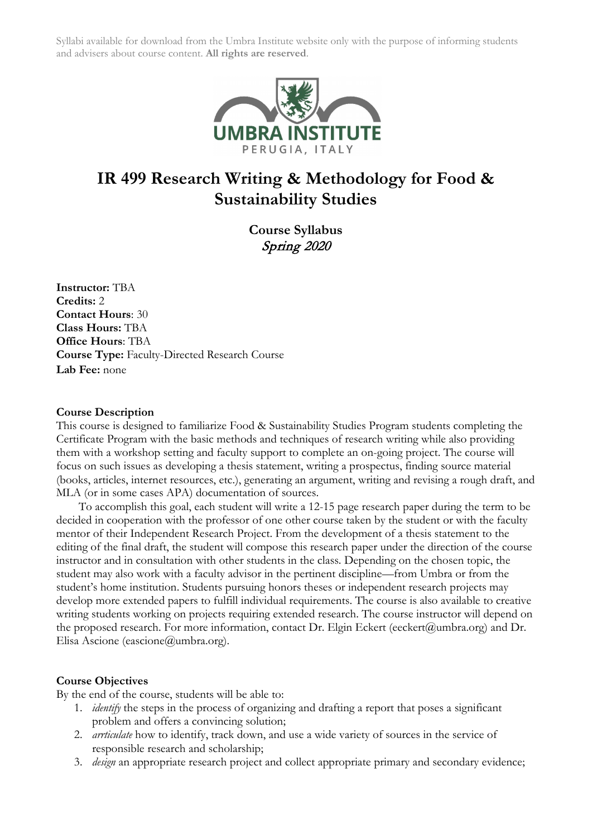

# **IR 499 Research Writing & Methodology for Food & Sustainability Studies**

**Course Syllabus** Spring 2020

**Instructor:** TBA **Credits:** 2 **Contact Hours**: 30 **Class Hours:** TBA **Office Hours**: TBA **Course Type:** Faculty-Directed Research Course **Lab Fee:** none

#### **Course Description**

This course is designed to familiarize Food & Sustainability Studies Program students completing the Certificate Program with the basic methods and techniques of research writing while also providing them with a workshop setting and faculty support to complete an on-going project. The course will focus on such issues as developing a thesis statement, writing a prospectus, finding source material (books, articles, internet resources, etc.), generating an argument, writing and revising a rough draft, and MLA (or in some cases APA) documentation of sources.

To accomplish this goal, each student will write a 12-15 page research paper during the term to be decided in cooperation with the professor of one other course taken by the student or with the faculty mentor of their Independent Research Project. From the development of a thesis statement to the editing of the final draft, the student will compose this research paper under the direction of the course instructor and in consultation with other students in the class. Depending on the chosen topic, the student may also work with a faculty advisor in the pertinent discipline—from Umbra or from the student's home institution. Students pursuing honors theses or independent research projects may develop more extended papers to fulfill individual requirements. The course is also available to creative writing students working on projects requiring extended research. The course instructor will depend on the proposed research. For more information, contact Dr. Elgin Eckert (eeckert@umbra.org) and Dr. Elisa Ascione (eascione@umbra.org).

#### **Course Objectives**

By the end of the course, students will be able to:

- 1. *identify* the steps in the process of organizing and drafting a report that poses a significant problem and offers a convincing solution;
- 2. *arrticulate* how to identify, track down, and use a wide variety of sources in the service of responsible research and scholarship;
- 3. *design* an appropriate research project and collect appropriate primary and secondary evidence;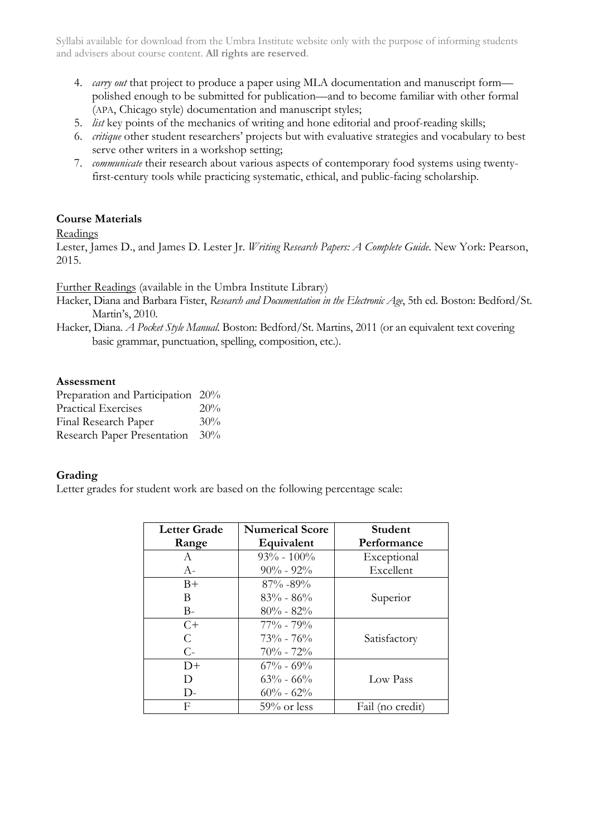- 4. *carry out* that project to produce a paper using MLA documentation and manuscript form polished enough to be submitted for publication—and to become familiar with other formal (APA, Chicago style) documentation and manuscript styles;
- 5. *list* key points of the mechanics of writing and hone editorial and proof-reading skills;
- 6. *critique* other student researchers' projects but with evaluative strategies and vocabulary to best serve other writers in a workshop setting;
- 7. *communicate* their research about various aspects of contemporary food systems using twentyfirst-century tools while practicing systematic, ethical, and public-facing scholarship.

# **Course Materials**

# Readings

Lester, James D., and James D. Lester Jr. *Writing Research Papers: A Complete Guide*. New York: Pearson, 2015.

Further Readings (available in the Umbra Institute Library)

Hacker, Diana and Barbara Fister, *Research and Documentation in the Electronic Age*, 5th ed. Boston: Bedford/St. Martin's, 2010.

Hacker, Diana. *A Pocket Style Manual*. Boston: Bedford/St. Martins, 2011 (or an equivalent text covering basic grammar, punctuation, spelling, composition, etc.).

# **Assessment**

Preparation and Participation 20% Practical Exercises 20% Final Research Paper 30% Research Paper Presentation 30%

# **Grading**

Letter grades for student work are based on the following percentage scale:

| Letter Grade | <b>Numerical Score</b> | Student          |
|--------------|------------------------|------------------|
| Range        | Equivalent             | Performance      |
| A            | $93\% - 100\%$         | Exceptional      |
| $A-$         | $90\% - 92\%$          | Excellent        |
| $B+$         | $87\% - 89\%$          |                  |
| B            | $83\% - 86\%$          | Superior         |
| $B -$        | $80\% - 82\%$          |                  |
| $C+$         | $77\% - 79\%$          |                  |
| C            | $73\% - 76\%$          | Satisfactory     |
| $C-$         | $70\% - 72\%$          |                  |
| $D+$         | $67\% - 69\%$          |                  |
| D            | $63\% - 66\%$          | Low Pass         |
| $\mathsf{D}$ | $60\% - 62\%$          |                  |
| F            | $59\%$ or less         | Fail (no credit) |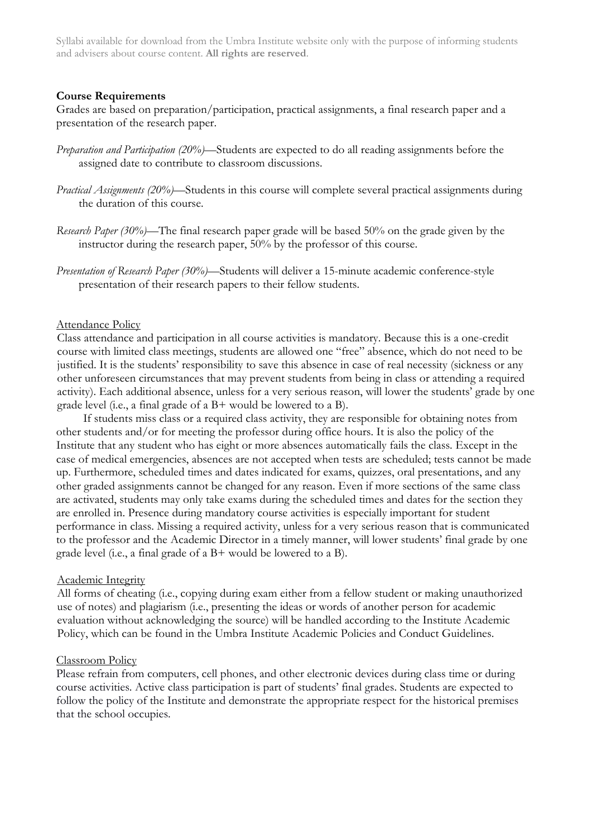#### **Course Requirements**

Grades are based on preparation/participation, practical assignments, a final research paper and a presentation of the research paper.

- *Preparation and Participation (20%)*—Students are expected to do all reading assignments before the assigned date to contribute to classroom discussions.
- *Practical Assignments (20%)*—Students in this course will complete several practical assignments during the duration of this course.
- *Research Paper (30%)*—The final research paper grade will be based 50% on the grade given by the instructor during the research paper, 50% by the professor of this course.
- *Presentation of Research Paper (30%)*—Students will deliver a 15-minute academic conference-style presentation of their research papers to their fellow students.

#### Attendance Policy

Class attendance and participation in all course activities is mandatory. Because this is a one-credit course with limited class meetings, students are allowed one "free" absence, which do not need to be justified. It is the students' responsibility to save this absence in case of real necessity (sickness or any other unforeseen circumstances that may prevent students from being in class or attending a required activity). Each additional absence, unless for a very serious reason, will lower the students' grade by one grade level (i.e., a final grade of a B+ would be lowered to a B).

If students miss class or a required class activity, they are responsible for obtaining notes from other students and/or for meeting the professor during office hours. It is also the policy of the Institute that any student who has eight or more absences automatically fails the class. Except in the case of medical emergencies, absences are not accepted when tests are scheduled; tests cannot be made up. Furthermore, scheduled times and dates indicated for exams, quizzes, oral presentations, and any other graded assignments cannot be changed for any reason. Even if more sections of the same class are activated, students may only take exams during the scheduled times and dates for the section they are enrolled in. Presence during mandatory course activities is especially important for student performance in class. Missing a required activity, unless for a very serious reason that is communicated to the professor and the Academic Director in a timely manner, will lower students' final grade by one grade level (i.e., a final grade of a B+ would be lowered to a B).

#### Academic Integrity

All forms of cheating (i.e., copying during exam either from a fellow student or making unauthorized use of notes) and plagiarism (i.e., presenting the ideas or words of another person for academic evaluation without acknowledging the source) will be handled according to the Institute Academic Policy, which can be found in the Umbra Institute Academic Policies and Conduct Guidelines.

#### Classroom Policy

Please refrain from computers, cell phones, and other electronic devices during class time or during course activities. Active class participation is part of students' final grades. Students are expected to follow the policy of the Institute and demonstrate the appropriate respect for the historical premises that the school occupies.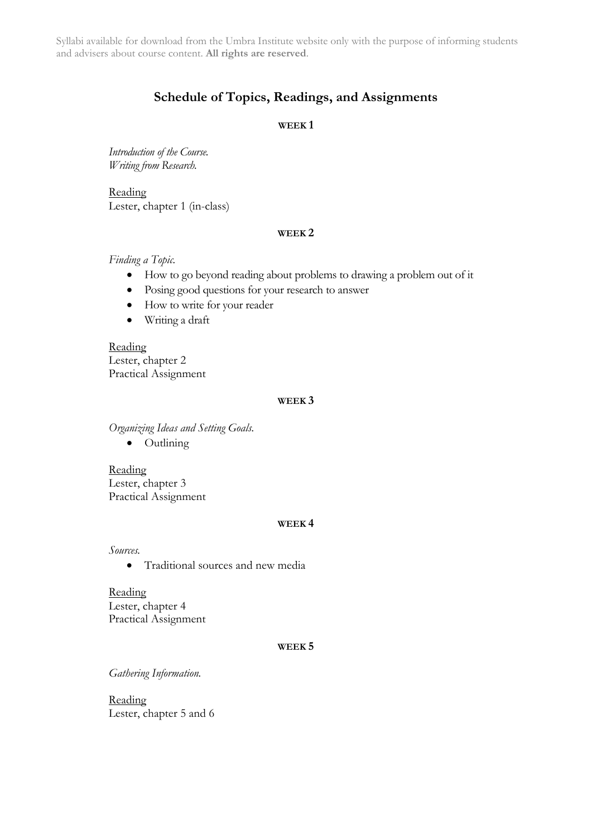# **Schedule of Topics, Readings, and Assignments**

### **WEEK 1**

*Introduction of the Course. Writing from Research.*

Reading Lester, chapter 1 (in-class)

#### **WEEK 2**

*Finding a Topic.*

- How to go beyond reading about problems to drawing a problem out of it
- Posing good questions for your research to answer
- How to write for your reader
- Writing a draft

Reading Lester, chapter 2 Practical Assignment

# **WEEK 3**

*Organizing Ideas and Setting Goals.*

• Outlining

Reading Lester, chapter 3 Practical Assignment

#### **WEEK 4**

*Sources.*

• Traditional sources and new media

Reading Lester, chapter 4 Practical Assignment

#### **WEEK 5**

*Gathering Information.*

Reading Lester, chapter 5 and 6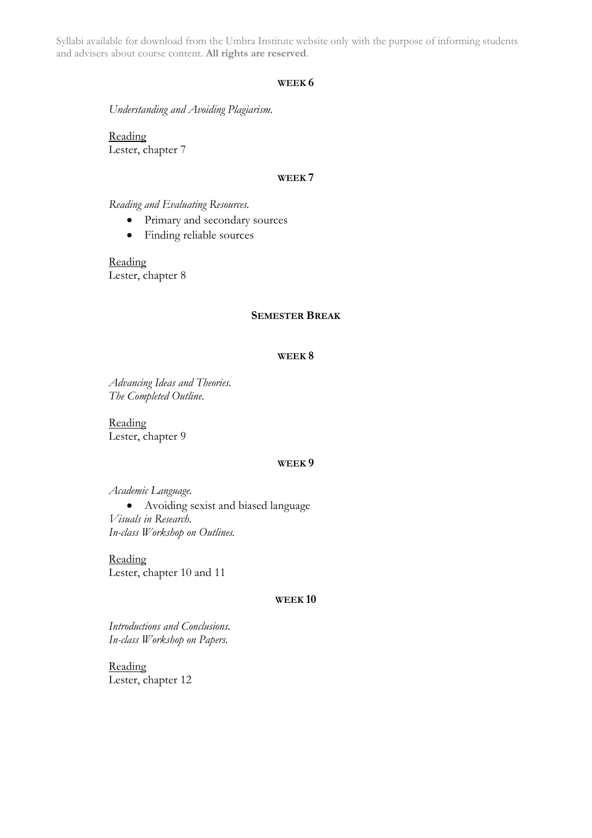#### **WEEK 6**

*Understanding and Avoiding Plagiarism.*

Reading Lester, chapter 7

#### **WEEK 7**

#### *Reading and Evaluating Resources.*

- Primary and secondary sources
- Finding reliable sources

Reading Lester, chapter 8

#### **SEMESTER BREAK**

#### **WEEK 8**

*Advancing Ideas and Theories. The Completed Outline.*

Reading Lester, chapter 9

#### **WEEK 9**

*Academic Language.*

• Avoiding sexist and biased language *Visuals in Research. In-class Workshop on Outlines.*

Reading Lester, chapter 10 and 11

#### **WEEK 10**

*Introductions and Conclusions. In-class Workshop on Papers.*

Reading Lester, chapter 12